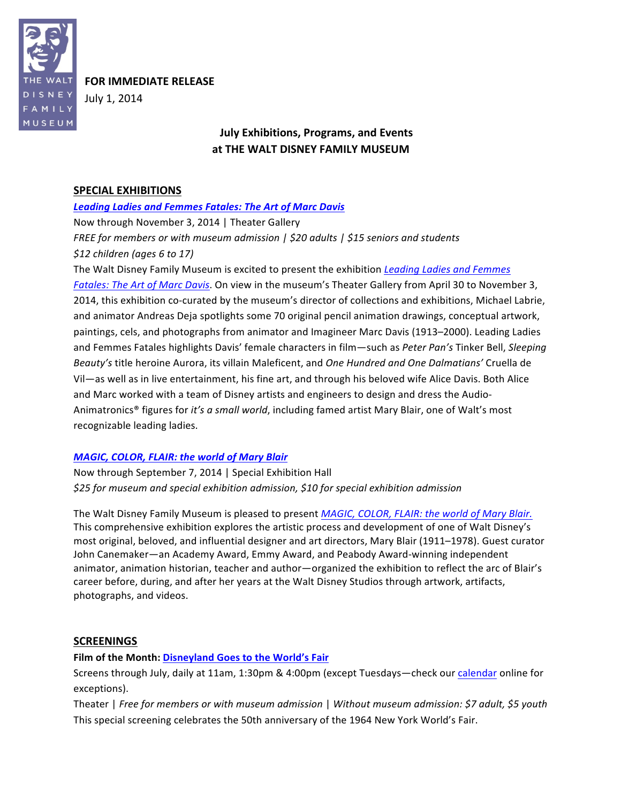

**FOR IMMEDIATE RELEASE** 

July 1, 2014

# **July Exhibitions, Programs, and Events** at THE WALT DISNEY FAMILY MUSEUM

## **SPECIAL EXHIBITIONS**

## **Leading Ladies and Femmes Fatales: The Art of Marc Davis**

Now through November 3, 2014 | Theater Gallery FREE for members or with museum admission  $\frac{1}{20}$  sadults  $\frac{1}{25}$  seniors and students  $$12$  children (ages 6 to 17)

The Walt Disney Family Museum is excited to present the exhibition Leading Ladies and Femmes Fatales: The Art of Marc Davis. On view in the museum's Theater Gallery from April 30 to November 3, 2014, this exhibition co-curated by the museum's director of collections and exhibitions, Michael Labrie, and animator Andreas Deja spotlights some 70 original pencil animation drawings, conceptual artwork, paintings, cels, and photographs from animator and Imagineer Marc Davis (1913-2000). Leading Ladies and Femmes Fatales highlights Davis' female characters in film-such as Peter Pan's Tinker Bell, Sleeping Beauty's title heroine Aurora, its villain Maleficent, and One Hundred and One Dalmatians' Cruella de Vil-as well as in live entertainment, his fine art, and through his beloved wife Alice Davis. Both Alice and Marc worked with a team of Disney artists and engineers to design and dress the Audio-Animatronics® figures for it's a small world, including famed artist Mary Blair, one of Walt's most recognizable leading ladies.

## **MAGIC, COLOR, FLAIR: the world of Mary Blair**

Now through September 7, 2014 | Special Exhibition Hall \$25 for museum and special exhibition admission, \$10 for special exhibition admission

The Walt Disney Family Museum is pleased to present MAGIC, COLOR, FLAIR: the world of Mary Blair. This comprehensive exhibition explores the artistic process and development of one of Walt Disney's most original, beloved, and influential designer and art directors, Mary Blair (1911-1978). Guest curator John Canemaker-an Academy Award, Emmy Award, and Peabody Award-winning independent animator, animation historian, teacher and author-organized the exhibition to reflect the arc of Blair's career before, during, and after her years at the Walt Disney Studios through artwork, artifacts, photographs, and videos.

## **SCREENINGS**

## Film of the Month: Disneyland Goes to the World's Fair

Screens through July, daily at 11am, 1:30pm & 4:00pm (except Tuesdays-check our calendar online for exceptions).

Theater | Free for members or with museum admission | Without museum admission: \$7 adult, \$5 youth This special screening celebrates the 50th anniversary of the 1964 New York World's Fair.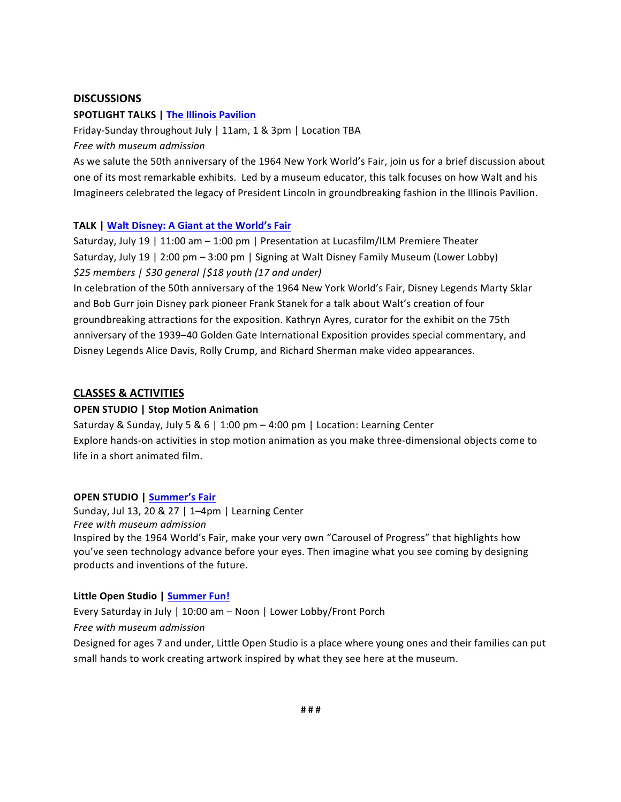#### **DISCUSSIONS**

#### **SPOTLIGHT TALKS | The Illinois Pavilion**

Friday-Sunday throughout July | 11am, 1 & 3pm | Location TBA

Free with museum admission

As we salute the 50th anniversary of the 1964 New York World's Fair, join us for a brief discussion about one of its most remarkable exhibits. Led by a museum educator, this talk focuses on how Walt and his Imagineers celebrated the legacy of President Lincoln in groundbreaking fashion in the Illinois Pavilion.

#### **TALK | Walt Disney: A Giant at the World's Fair**

Saturday, July 19 | 11:00 am - 1:00 pm | Presentation at Lucasfilm/ILM Premiere Theater Saturday, July 19 | 2:00 pm - 3:00 pm | Signing at Walt Disney Family Museum (Lower Lobby) \$25 members | \$30 general | \$18 youth (17 and under)

In celebration of the 50th anniversary of the 1964 New York World's Fair, Disney Legends Marty Sklar and Bob Gurr join Disney park pioneer Frank Stanek for a talk about Walt's creation of four groundbreaking attractions for the exposition. Kathryn Ayres, curator for the exhibit on the 75th anniversary of the 1939-40 Golden Gate International Exposition provides special commentary, and Disney Legends Alice Davis, Rolly Crump, and Richard Sherman make video appearances.

#### **CLASSES & ACTIVITIES**

#### **OPEN STUDIO | Stop Motion Animation**

Saturday & Sunday, July 5 & 6 | 1:00 pm - 4:00 pm | Location: Learning Center Explore hands-on activities in stop motion animation as you make three-dimensional objects come to life in a short animated film.

#### **OPEN STUDIO | Summer's Fair**

Sunday, Jul 13, 20 & 27 | 1-4pm | Learning Center Free with museum admission Inspired by the 1964 World's Fair, make your very own "Carousel of Progress" that highlights how you've seen technology advance before your eyes. Then imagine what you see coming by designing products and inventions of the future.

#### Little Open Studio | Summer Fun!

Every Saturday in July | 10:00 am - Noon | Lower Lobby/Front Porch Free with museum admission Designed for ages 7 and under, Little Open Studio is a place where young ones and their families can put small hands to work creating artwork inspired by what they see here at the museum.